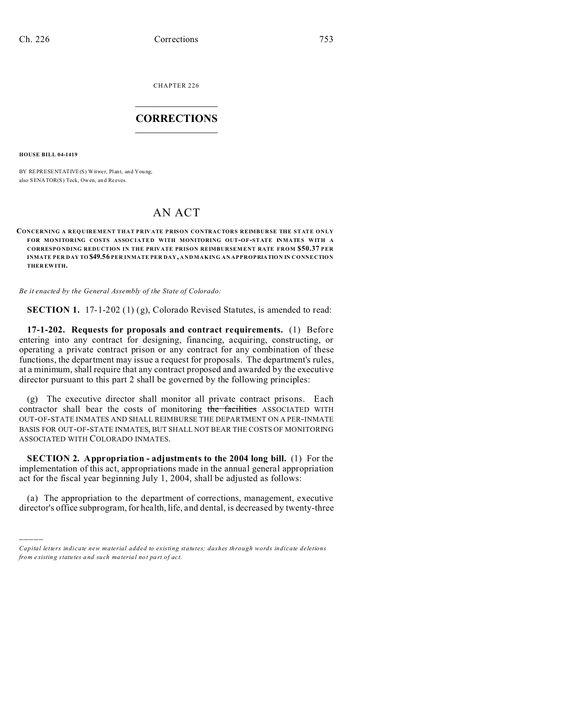CHAPTER 226  $\overline{\phantom{a}}$  , where  $\overline{\phantom{a}}$ 

## **CORRECTIONS**  $\frac{1}{2}$  ,  $\frac{1}{2}$  ,  $\frac{1}{2}$  ,  $\frac{1}{2}$  ,  $\frac{1}{2}$  ,  $\frac{1}{2}$

**HOUSE BILL 04-1419**

)))))

BY REPRESENTATIVE(S) Witwer, Plant, and You ng; also SENATOR(S) Teck, Owen, an d Reeves.

## AN ACT

## **CONCERNING A REQ UIREMENT THAT PRIVATE PRISON CONTRACTORS REIMBURSE THE STATE ONLY FOR MONITORING COSTS ASSOCIATE D WITH MONITORING OUT-OF-STATE INMATES WITH A CORRESPO NDING REDUCTION IN THE PRIVATE PRISON REIMBURSEM ENT RATE FROM \$50.37 PER INMATE PER DAY TO \$49.56 PER INMATE PER DAY, AND MAKING AN APPROPRIATION IN CONNECTION THER EWITH.**

*Be it enacted by the General Assembly of the State of Colorado:*

**SECTION 1.** 17-1-202 (1) (g), Colorado Revised Statutes, is amended to read:

**17-1-202. Requests for proposals and contract requirements.** (1) Before entering into any contract for designing, financing, acquiring, constructing, or operating a private contract prison or any contract for any combination of these functions, the department may issue a request for proposals. The department's rules, at a minimum, shall require that any contract proposed and awarded by the executive director pursuant to this part 2 shall be governed by the following principles:

(g) The executive director shall monitor all private contract prisons. Each contractor shall bear the costs of monitoring the facilities ASSOCIATED WITH OUT-OF-STATE INMATES AND SHALL REIMBURSE THE DEPARTMENT ON A PER-INMATE BASIS FOR OUT-OF-STATE INMATES, BUT SHALL NOT BEAR THE COSTS OF MONITORING ASSOCIATED WITH COLORADO INMATES.

**SECTION 2. Appropriation - adjustments to the 2004 long bill.** (1) For the implementation of this act, appropriations made in the annual general appropriation act for the fiscal year beginning July 1, 2004, shall be adjusted as follows:

(a) The appropriation to the department of corrections, management, executive director's office subprogram, for health, life, and dental, is decreased by twenty-three

*Capital letters indicate new material added to existing statutes; dashes through words indicate deletions from e xistin g statu tes a nd such ma teria l no t pa rt of ac t.*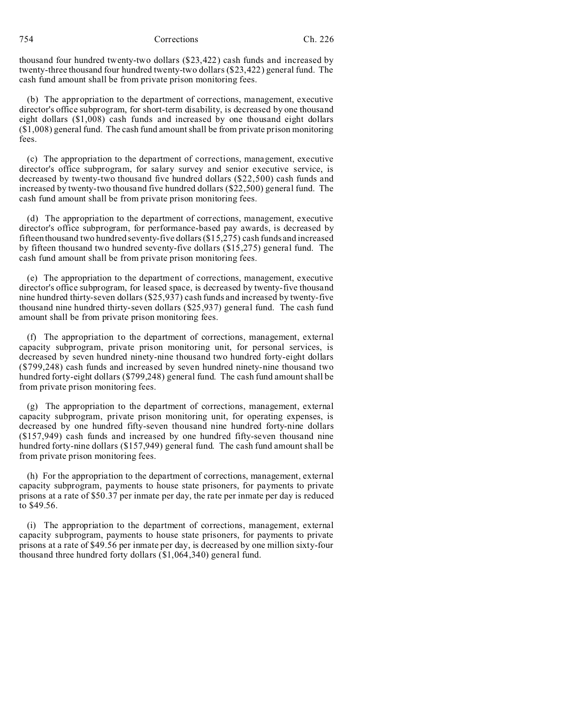754 Corrections Ch. 226

thousand four hundred twenty-two dollars (\$23,422) cash funds and increased by twenty-three thousand four hundred twenty-two dollars (\$23,422) general fund. The cash fund amount shall be from private prison monitoring fees.

(b) The appropriation to the department of corrections, management, executive director's office subprogram, for short-term disability, is decreased by one thousand eight dollars (\$1,008) cash funds and increased by one thousand eight dollars (\$1,008) general fund. The cash fund amount shall be from private prison monitoring fees.

(c) The appropriation to the department of corrections, management, executive director's office subprogram, for salary survey and senior executive service, is decreased by twenty-two thousand five hundred dollars (\$22,500) cash funds and increased by twenty-two thousand five hundred dollars (\$22,500) general fund. The cash fund amount shall be from private prison monitoring fees.

(d) The appropriation to the department of corrections, management, executive director's office subprogram, for performance-based pay awards, is decreased by fifteen thousand two hundred seventy-five dollars (\$15,275) cash funds and increased by fifteen thousand two hundred seventy-five dollars (\$15,275) general fund. The cash fund amount shall be from private prison monitoring fees.

(e) The appropriation to the department of corrections, management, executive director's office subprogram, for leased space, is decreased by twenty-five thousand nine hundred thirty-seven dollars (\$25,937) cash funds and increased by twenty-five thousand nine hundred thirty-seven dollars (\$25,937) general fund. The cash fund amount shall be from private prison monitoring fees.

(f) The appropriation to the department of corrections, management, external capacity subprogram, private prison monitoring unit, for personal services, is decreased by seven hundred ninety-nine thousand two hundred forty-eight dollars (\$799,248) cash funds and increased by seven hundred ninety-nine thousand two hundred forty-eight dollars (\$799,248) general fund. The cash fund amount shall be from private prison monitoring fees.

(g) The appropriation to the department of corrections, management, external capacity subprogram, private prison monitoring unit, for operating expenses, is decreased by one hundred fifty-seven thousand nine hundred forty-nine dollars (\$157,949) cash funds and increased by one hundred fifty-seven thousand nine hundred forty-nine dollars (\$157,949) general fund. The cash fund amount shall be from private prison monitoring fees.

(h) For the appropriation to the department of corrections, management, external capacity subprogram, payments to house state prisoners, for payments to private prisons at a rate of \$50.37 per inmate per day, the rate per inmate per day is reduced to \$49.56.

(i) The appropriation to the department of corrections, management, external capacity subprogram, payments to house state prisoners, for payments to private prisons at a rate of \$49.56 per inmate per day, is decreased by one million sixty-four thousand three hundred forty dollars (\$1,064,340) general fund.